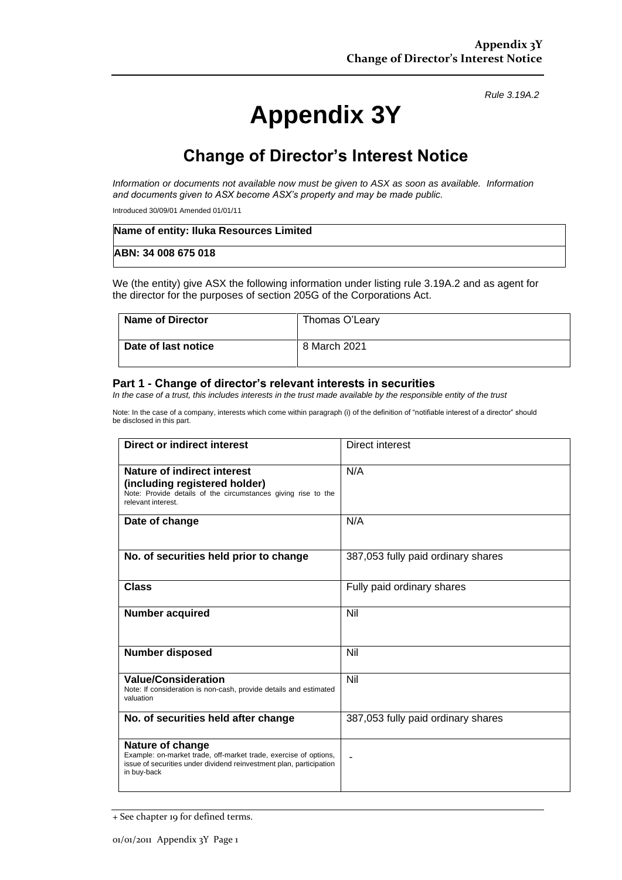*Rule 3.19A.2*

# **Appendix 3Y**

# **Change of Director's Interest Notice**

*Information or documents not available now must be given to ASX as soon as available. Information and documents given to ASX become ASX's property and may be made public.*

Introduced 30/09/01 Amended 01/01/11

| Name of entity: Iluka Resources Limited |  |
|-----------------------------------------|--|
| ABN: 34 008 675 018                     |  |

We (the entity) give ASX the following information under listing rule 3.19A.2 and as agent for the director for the purposes of section 205G of the Corporations Act.

| Name of Director    | Thomas O'Leary |
|---------------------|----------------|
| Date of last notice | 8 March 2021   |

#### **Part 1 - Change of director's relevant interests in securities**

*In the case of a trust, this includes interests in the trust made available by the responsible entity of the trust*

Note: In the case of a company, interests which come within paragraph (i) of the definition of "notifiable interest of a director" should be disclosed in this part.

| <b>Direct or indirect interest</b>                                                                                                                                         | Direct interest                    |
|----------------------------------------------------------------------------------------------------------------------------------------------------------------------------|------------------------------------|
| Nature of indirect interest<br>(including registered holder)<br>Note: Provide details of the circumstances giving rise to the<br>relevant interest.                        | N/A                                |
| Date of change                                                                                                                                                             | N/A                                |
| No. of securities held prior to change                                                                                                                                     | 387,053 fully paid ordinary shares |
| <b>Class</b>                                                                                                                                                               | Fully paid ordinary shares         |
| <b>Number acquired</b>                                                                                                                                                     | Nil                                |
| <b>Number disposed</b>                                                                                                                                                     | Nil                                |
| <b>Value/Consideration</b><br>Note: If consideration is non-cash, provide details and estimated<br>valuation                                                               | Nil                                |
| No. of securities held after change                                                                                                                                        | 387,053 fully paid ordinary shares |
| Nature of change<br>Example: on-market trade, off-market trade, exercise of options,<br>issue of securities under dividend reinvestment plan, participation<br>in buy-back |                                    |

<sup>+</sup> See chapter 19 for defined terms.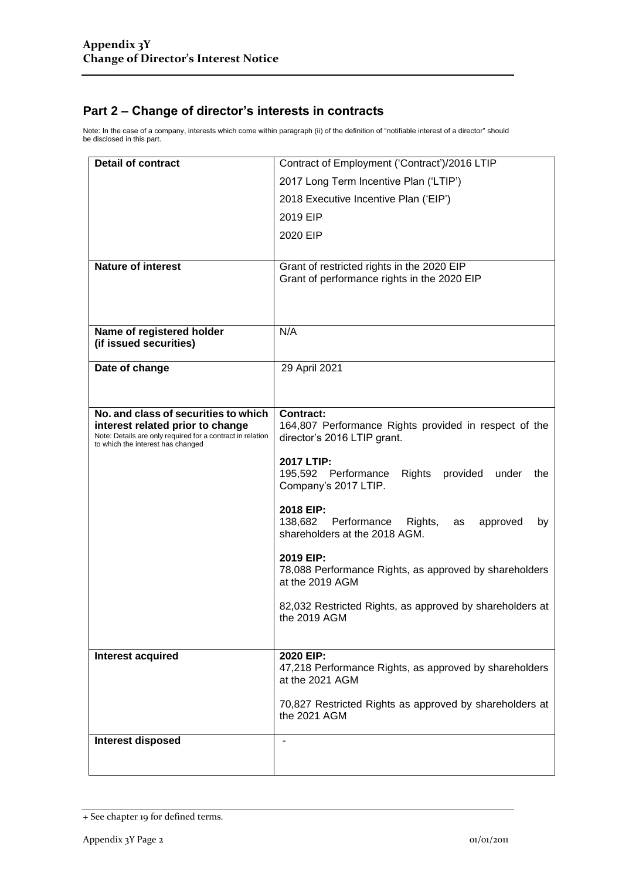### **Part 2 – Change of director's interests in contracts**

Note: In the case of a company, interests which come within paragraph (ii) of the definition of "notifiable interest of a director" should be disclosed in this part.

| <b>Detail of contract</b>                                                                                                                                                   | Contract of Employment ('Contract')/2016 LTIP                                                            |  |
|-----------------------------------------------------------------------------------------------------------------------------------------------------------------------------|----------------------------------------------------------------------------------------------------------|--|
|                                                                                                                                                                             | 2017 Long Term Incentive Plan ('LTIP')                                                                   |  |
|                                                                                                                                                                             | 2018 Executive Incentive Plan ('EIP')                                                                    |  |
|                                                                                                                                                                             | 2019 EIP                                                                                                 |  |
|                                                                                                                                                                             | 2020 EIP                                                                                                 |  |
|                                                                                                                                                                             |                                                                                                          |  |
| <b>Nature of interest</b>                                                                                                                                                   | Grant of restricted rights in the 2020 EIP<br>Grant of performance rights in the 2020 EIP                |  |
| Name of registered holder                                                                                                                                                   | N/A                                                                                                      |  |
| (if issued securities)                                                                                                                                                      |                                                                                                          |  |
| Date of change                                                                                                                                                              | 29 April 2021                                                                                            |  |
|                                                                                                                                                                             |                                                                                                          |  |
|                                                                                                                                                                             |                                                                                                          |  |
| No. and class of securities to which<br>interest related prior to change<br>Note: Details are only required for a contract in relation<br>to which the interest has changed | <b>Contract:</b><br>164,807 Performance Rights provided in respect of the<br>director's 2016 LTIP grant. |  |
|                                                                                                                                                                             | 2017 LTIP:<br>Rights<br>195,592 Performance<br>provided under<br>the<br>Company's 2017 LTIP.             |  |
|                                                                                                                                                                             | 2018 EIP:<br>138,682 Performance<br>Rights,<br>approved<br>as<br>by<br>shareholders at the 2018 AGM.     |  |
|                                                                                                                                                                             | 2019 EIP:<br>78,088 Performance Rights, as approved by shareholders<br>at the 2019 AGM                   |  |
|                                                                                                                                                                             | 82,032 Restricted Rights, as approved by shareholders at<br>the 2019 AGM                                 |  |
| Interest acquired                                                                                                                                                           | 2020 EIP:                                                                                                |  |
|                                                                                                                                                                             | 47,218 Performance Rights, as approved by shareholders<br>at the 2021 AGM                                |  |
|                                                                                                                                                                             | 70,827 Restricted Rights as approved by shareholders at<br>the 2021 AGM                                  |  |
| <b>Interest disposed</b>                                                                                                                                                    | $\overline{\phantom{a}}$                                                                                 |  |
|                                                                                                                                                                             |                                                                                                          |  |

<sup>+</sup> See chapter 19 for defined terms.